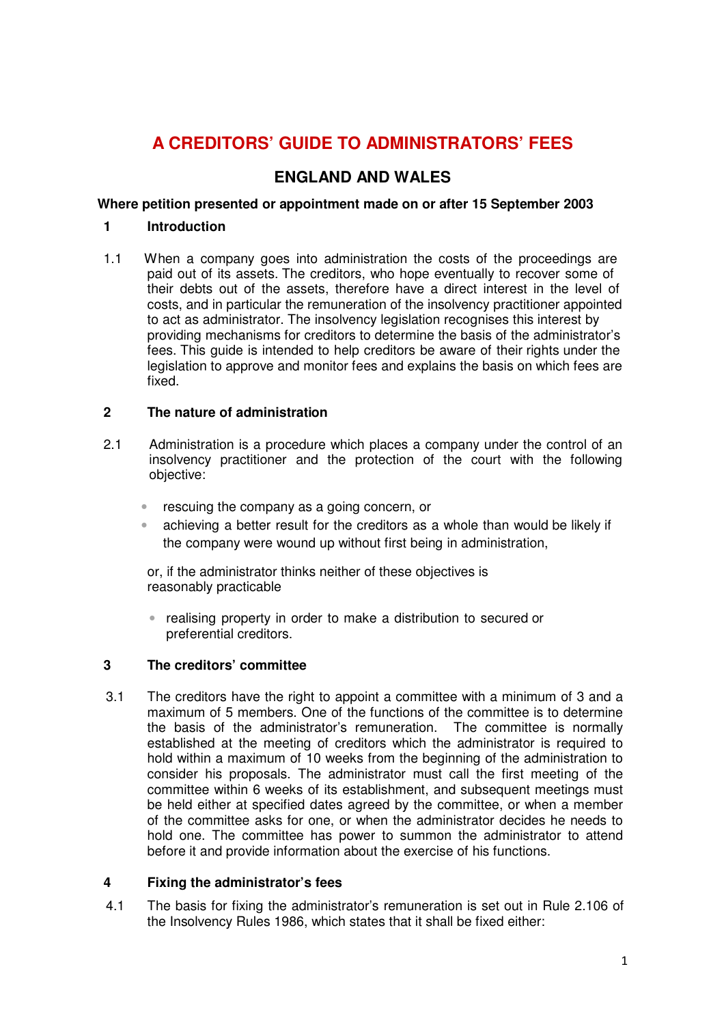# **A CREDITORS' GUIDE TO ADMINISTRATORS' FEES**

# **ENGLAND AND WALES**

#### **Where petition presented or appointment made on or after 15 September 2003**

#### **1 Introduction**

1.1 When a company goes into administration the costs of the proceedings are paid out of its assets. The creditors, who hope eventually to recover some of their debts out of the assets, therefore have a direct interest in the level of costs, and in particular the remuneration of the insolvency practitioner appointed to act as administrator. The insolvency legislation recognises this interest by providing mechanisms for creditors to determine the basis of the administrator's fees. This guide is intended to help creditors be aware of their rights under the legislation to approve and monitor fees and explains the basis on which fees are fixed.

#### **2 The nature of administration**

- 2.1 Administration is a procedure which places a company under the control of an insolvency practitioner and the protection of the court with the following objective:
	- rescuing the company as a going concern, or
	- achieving a better result for the creditors as a whole than would be likely if the company were wound up without first being in administration,

or, if the administrator thinks neither of these objectives is reasonably practicable

• realising property in order to make a distribution to secured or preferential creditors.

#### **3 The creditors' committee**

3.1 The creditors have the right to appoint a committee with a minimum of 3 and a maximum of 5 members. One of the functions of the committee is to determine the basis of the administrator's remuneration. The committee is normally established at the meeting of creditors which the administrator is required to hold within a maximum of 10 weeks from the beginning of the administration to consider his proposals. The administrator must call the first meeting of the committee within 6 weeks of its establishment, and subsequent meetings must be held either at specified dates agreed by the committee, or when a member of the committee asks for one, or when the administrator decides he needs to hold one. The committee has power to summon the administrator to attend before it and provide information about the exercise of his functions.

#### **4 Fixing the administrator's fees**

4.1 The basis for fixing the administrator's remuneration is set out in Rule 2.106 of the Insolvency Rules 1986, which states that it shall be fixed either: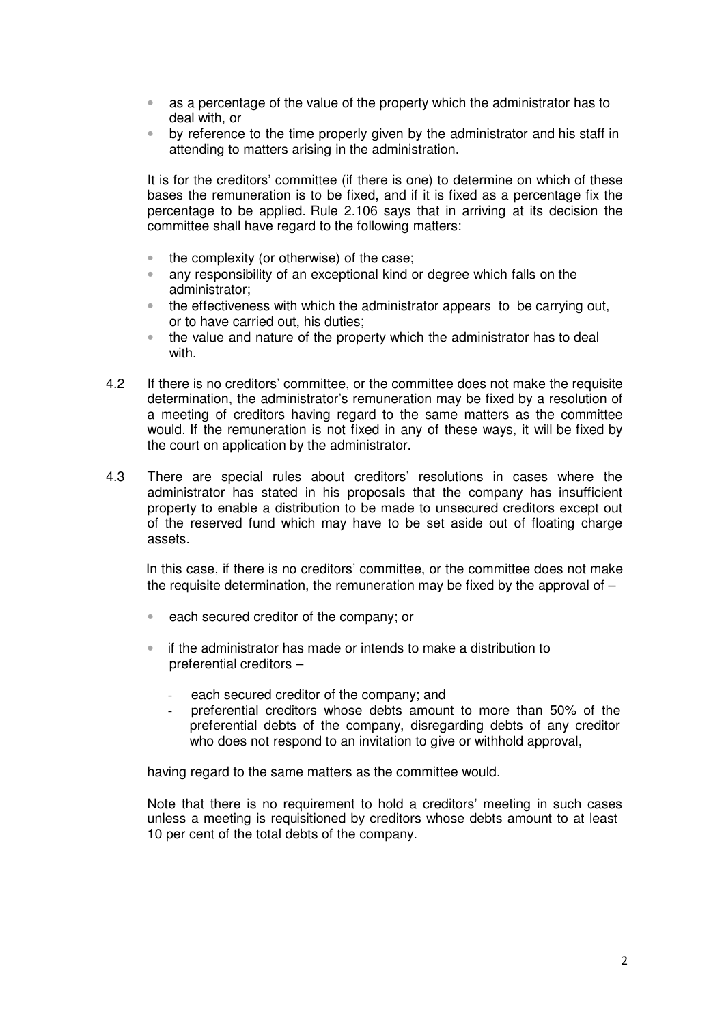- as a percentage of the value of the property which the administrator has to deal with, or
- by reference to the time properly given by the administrator and his staff in attending to matters arising in the administration.

It is for the creditors' committee (if there is one) to determine on which of these bases the remuneration is to be fixed, and if it is fixed as a percentage fix the percentage to be applied. Rule 2.106 says that in arriving at its decision the committee shall have regard to the following matters:

- the complexity (or otherwise) of the case;
- any responsibility of an exceptional kind or degree which falls on the administrator;
- the effectiveness with which the administrator appears to be carrying out, or to have carried out, his duties;
- the value and nature of the property which the administrator has to deal with.
- 4.2 If there is no creditors' committee, or the committee does not make the requisite determination, the administrator's remuneration may be fixed by a resolution of a meeting of creditors having regard to the same matters as the committee would. If the remuneration is not fixed in any of these ways, it will be fixed by the court on application by the administrator.
- 4.3 There are special rules about creditors' resolutions in cases where the administrator has stated in his proposals that the company has insufficient property to enable a distribution to be made to unsecured creditors except out of the reserved fund which may have to be set aside out of floating charge assets.

In this case, if there is no creditors' committee, or the committee does not make the requisite determination, the remuneration may be fixed by the approval of  $-$ 

- each secured creditor of the company; or
- if the administrator has made or intends to make a distribution to preferential creditors –
	- each secured creditor of the company; and
	- preferential creditors whose debts amount to more than 50% of the preferential debts of the company, disregarding debts of any creditor who does not respond to an invitation to give or withhold approval.

having regard to the same matters as the committee would.

Note that there is no requirement to hold a creditors' meeting in such cases unless a meeting is requisitioned by creditors whose debts amount to at least 10 per cent of the total debts of the company.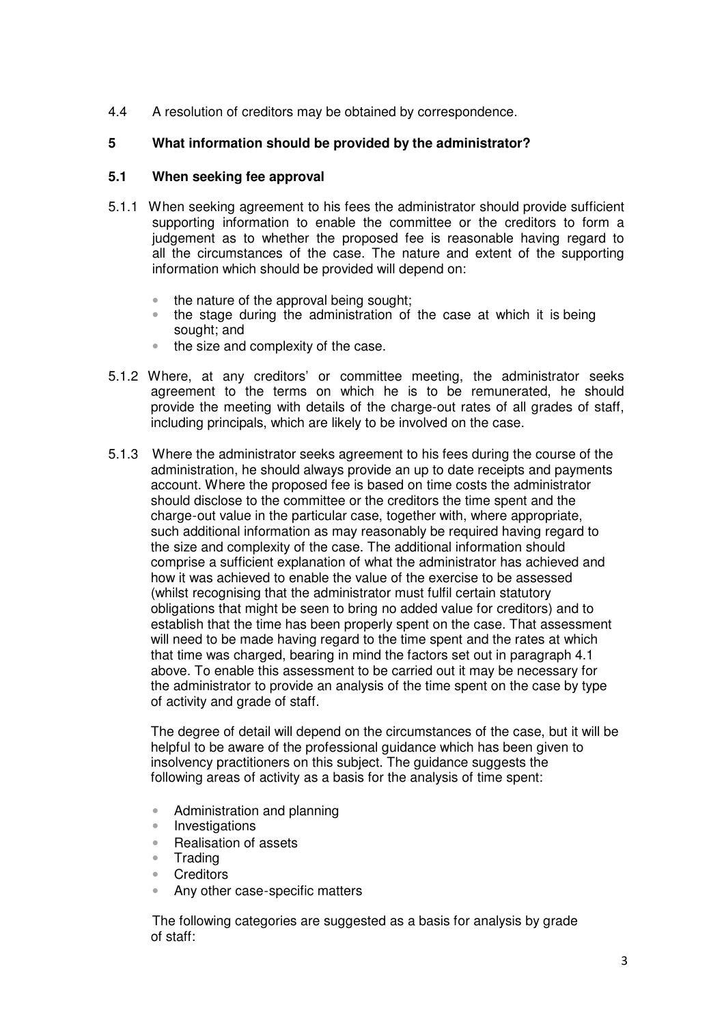4.4 A resolution of creditors may be obtained by correspondence.

# **5 What information should be provided by the administrator?**

#### **5.1 When seeking fee approval**

- 5.1.1 When seeking agreement to his fees the administrator should provide sufficient supporting information to enable the committee or the creditors to form a judgement as to whether the proposed fee is reasonable having regard to all the circumstances of the case. The nature and extent of the supporting information which should be provided will depend on:
	- the nature of the approval being sought;
	- the stage during the administration of the case at which it is being sought; and
	- the size and complexity of the case.
- 5.1.2 Where, at any creditors' or committee meeting, the administrator seeks agreement to the terms on which he is to be remunerated, he should provide the meeting with details of the charge-out rates of all grades of staff, including principals, which are likely to be involved on the case.
- 5.1.3 Where the administrator seeks agreement to his fees during the course of the administration, he should always provide an up to date receipts and payments account. Where the proposed fee is based on time costs the administrator should disclose to the committee or the creditors the time spent and the charge-out value in the particular case, together with, where appropriate, such additional information as may reasonably be required having regard to the size and complexity of the case. The additional information should comprise a sufficient explanation of what the administrator has achieved and how it was achieved to enable the value of the exercise to be assessed (whilst recognising that the administrator must fulfil certain statutory obligations that might be seen to bring no added value for creditors) and to establish that the time has been properly spent on the case. That assessment will need to be made having regard to the time spent and the rates at which that time was charged, bearing in mind the factors set out in paragraph 4.1 above. To enable this assessment to be carried out it may be necessary for the administrator to provide an analysis of the time spent on the case by type of activity and grade of staff.

The degree of detail will depend on the circumstances of the case, but it will be helpful to be aware of the professional guidance which has been given to insolvency practitioners on this subject. The guidance suggests the following areas of activity as a basis for the analysis of time spent:

- Administration and planning
- Investigations
- Realisation of assets
- **Trading**
- **Creditors**
- Any other case-specific matters

The following categories are suggested as a basis for analysis by grade of staff: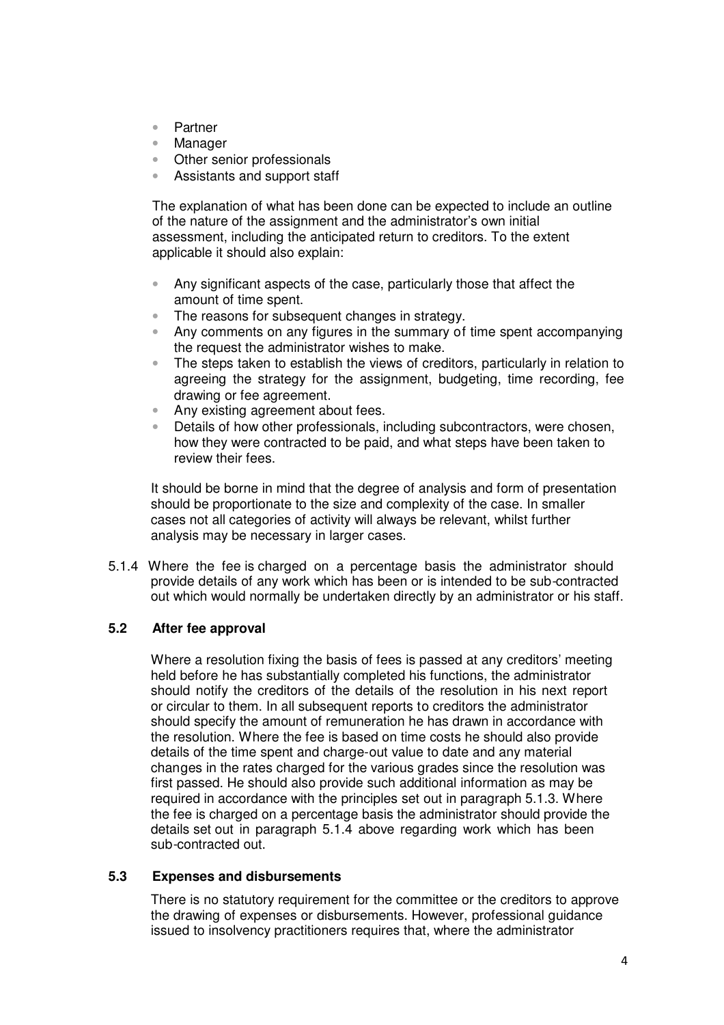- Partner
- Manager
- Other senior professionals
- Assistants and support staff

The explanation of what has been done can be expected to include an outline of the nature of the assignment and the administrator's own initial assessment, including the anticipated return to creditors. To the extent applicable it should also explain:

- Any significant aspects of the case, particularly those that affect the amount of time spent.
- The reasons for subsequent changes in strategy.
- Any comments on any figures in the summary of time spent accompanying the request the administrator wishes to make.
- The steps taken to establish the views of creditors, particularly in relation to agreeing the strategy for the assignment, budgeting, time recording, fee drawing or fee agreement.
- Any existing agreement about fees.
- Details of how other professionals, including subcontractors, were chosen, how they were contracted to be paid, and what steps have been taken to review their fees.

It should be borne in mind that the degree of analysis and form of presentation should be proportionate to the size and complexity of the case. In smaller cases not all categories of activity will always be relevant, whilst further analysis may be necessary in larger cases.

5.1.4 Where the fee is charged on a percentage basis the administrator should provide details of any work which has been or is intended to be sub-contracted out which would normally be undertaken directly by an administrator or his staff.

## **5.2 After fee approval**

Where a resolution fixing the basis of fees is passed at any creditors' meeting held before he has substantially completed his functions, the administrator should notify the creditors of the details of the resolution in his next report or circular to them. In all subsequent reports to creditors the administrator should specify the amount of remuneration he has drawn in accordance with the resolution. Where the fee is based on time costs he should also provide details of the time spent and charge-out value to date and any material changes in the rates charged for the various grades since the resolution was first passed. He should also provide such additional information as may be required in accordance with the principles set out in paragraph 5.1.3. Where the fee is charged on a percentage basis the administrator should provide the details set out in paragraph 5.1.4 above regarding work which has been sub-contracted out.

#### **5.3 Expenses and disbursements**

There is no statutory requirement for the committee or the creditors to approve the drawing of expenses or disbursements. However, professional guidance issued to insolvency practitioners requires that, where the administrator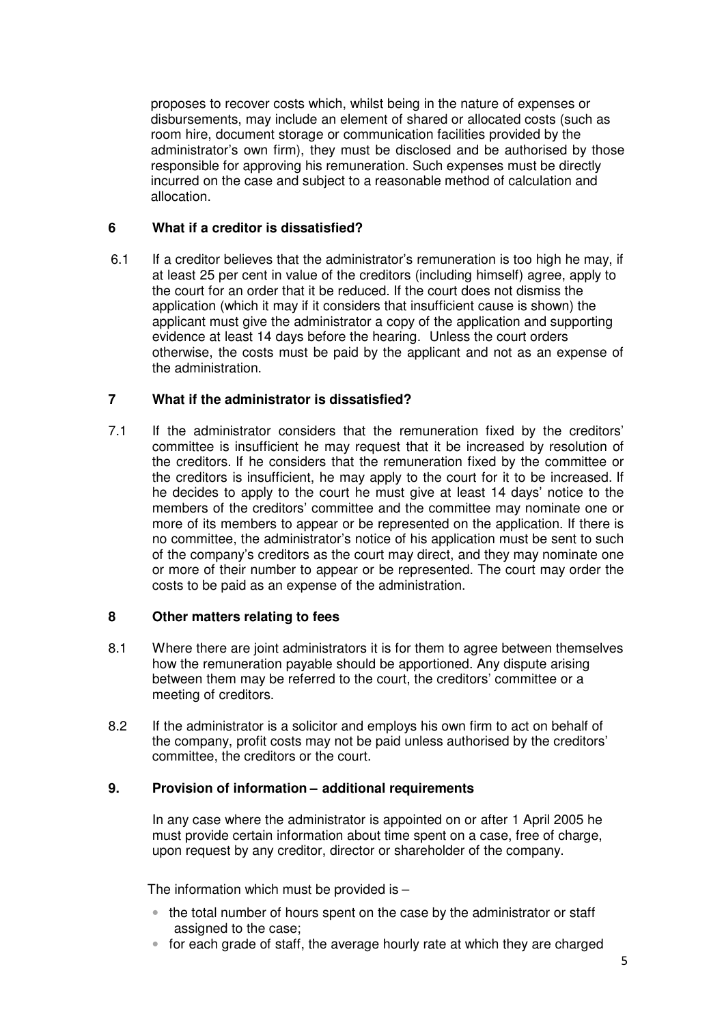proposes to recover costs which, whilst being in the nature of expenses or disbursements, may include an element of shared or allocated costs (such as room hire, document storage or communication facilities provided by the administrator's own firm), they must be disclosed and be authorised by those responsible for approving his remuneration. Such expenses must be directly incurred on the case and subject to a reasonable method of calculation and allocation.

#### **6 What if a creditor is dissatisfied?**

6.1 If a creditor believes that the administrator's remuneration is too high he may, if at least 25 per cent in value of the creditors (including himself) agree, apply to the court for an order that it be reduced. If the court does not dismiss the application (which it may if it considers that insufficient cause is shown) the applicant must give the administrator a copy of the application and supporting evidence at least 14 days before the hearing. Unless the court orders otherwise, the costs must be paid by the applicant and not as an expense of the administration.

## **7 What if the administrator is dissatisfied?**

7.1 If the administrator considers that the remuneration fixed by the creditors' committee is insufficient he may request that it be increased by resolution of the creditors. If he considers that the remuneration fixed by the committee or the creditors is insufficient, he may apply to the court for it to be increased. If he decides to apply to the court he must give at least 14 days' notice to the members of the creditors' committee and the committee may nominate one or more of its members to appear or be represented on the application. If there is no committee, the administrator's notice of his application must be sent to such of the company's creditors as the court may direct, and they may nominate one or more of their number to appear or be represented. The court may order the costs to be paid as an expense of the administration.

#### **8 Other matters relating to fees**

- 8.1 Where there are joint administrators it is for them to agree between themselves how the remuneration payable should be apportioned. Any dispute arising between them may be referred to the court, the creditors' committee or a meeting of creditors.
- 8.2 If the administrator is a solicitor and employs his own firm to act on behalf of the company, profit costs may not be paid unless authorised by the creditors' committee, the creditors or the court.

#### **9. Provision of information – additional requirements**

In any case where the administrator is appointed on or after 1 April 2005 he must provide certain information about time spent on a case, free of charge, upon request by any creditor, director or shareholder of the company.

The information which must be provided is  $-$ 

- the total number of hours spent on the case by the administrator or staff assigned to the case;
- for each grade of staff, the average hourly rate at which they are charged